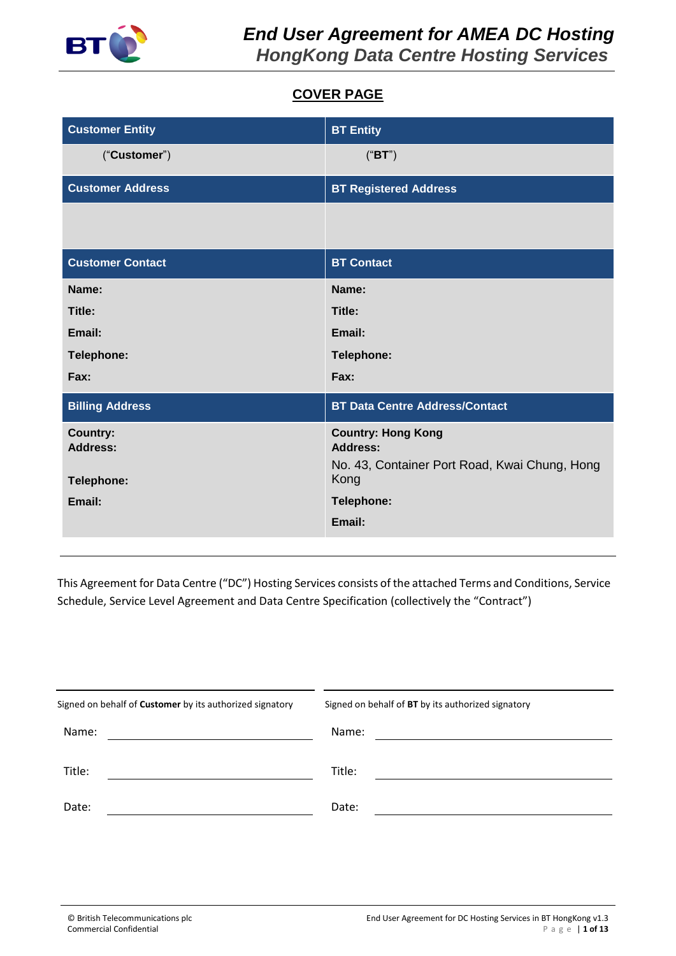

# **COVER PAGE**

| <b>Customer Entity</b>  | <b>BT Entity</b>                                                 |  |  |  |
|-------------------------|------------------------------------------------------------------|--|--|--|
| ("Customer")            | ("BT")                                                           |  |  |  |
| <b>Customer Address</b> | <b>BT Registered Address</b>                                     |  |  |  |
|                         |                                                                  |  |  |  |
| <b>Customer Contact</b> | <b>BT Contact</b>                                                |  |  |  |
| Name:                   | Name:                                                            |  |  |  |
| Title:                  | Title:                                                           |  |  |  |
| Email:                  | Email:                                                           |  |  |  |
| Telephone:              | Telephone:                                                       |  |  |  |
| Fax:                    | Fax:                                                             |  |  |  |
| <b>Billing Address</b>  | <b>BT Data Centre Address/Contact</b>                            |  |  |  |
| <b>Country:</b>         | <b>Country: Hong Kong</b>                                        |  |  |  |
| <b>Address:</b>         | <b>Address:</b><br>No. 43, Container Port Road, Kwai Chung, Hong |  |  |  |
| Telephone:              | Kong                                                             |  |  |  |
| Email:                  | Telephone:                                                       |  |  |  |
|                         | Email:                                                           |  |  |  |

This Agreement for Data Centre ("DC") Hosting Services consists of the attached Terms and Conditions, Service Schedule, Service Level Agreement and Data Centre Specification (collectively the "Contract")

| Signed on behalf of Customer by its authorized signatory | Signed on behalf of BT by its authorized signatory |
|----------------------------------------------------------|----------------------------------------------------|
| Name:                                                    | Name:                                              |
| Title:                                                   | Title:                                             |
| Date:                                                    | Date:                                              |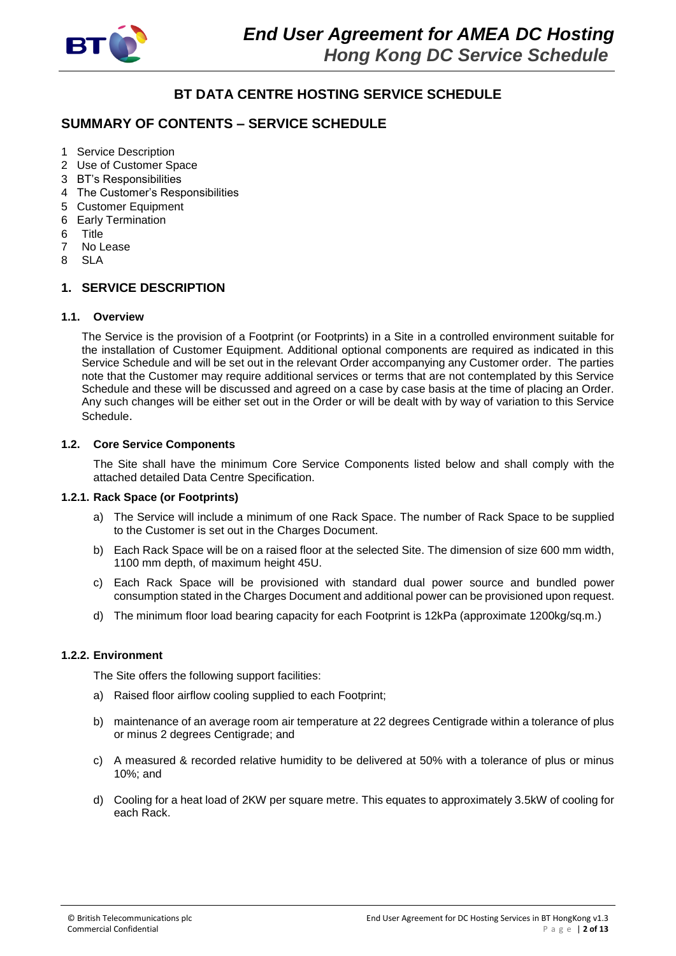

# **BT DATA CENTRE HOSTING SERVICE SCHEDULE**

# **SUMMARY OF CONTENTS – SERVICE SCHEDULE**

- 1 Service Description
- 2 Use of Customer Space
- 3 BT's Responsibilities
- 4 The Customer's Responsibilities
- 5 Customer Equipment
- 6 Early Termination
- 6 Title
- 7 No Lease
- 8 SLA

## **1. SERVICE DESCRIPTION**

#### **1.1. Overview**

The Service is the provision of a Footprint (or Footprints) in a Site in a controlled environment suitable for the installation of Customer Equipment. Additional optional components are required as indicated in this Service Schedule and will be set out in the relevant Order accompanying any Customer order. The parties note that the Customer may require additional services or terms that are not contemplated by this Service Schedule and these will be discussed and agreed on a case by case basis at the time of placing an Order. Any such changes will be either set out in the Order or will be dealt with by way of variation to this Service Schedule.

## **1.2. Core Service Components**

The Site shall have the minimum Core Service Components listed below and shall comply with the attached detailed Data Centre Specification.

## **1.2.1. Rack Space (or Footprints)**

- a) The Service will include a minimum of one Rack Space. The number of Rack Space to be supplied to the Customer is set out in the Charges Document.
- b) Each Rack Space will be on a raised floor at the selected Site. The dimension of size 600 mm width, 1100 mm depth, of maximum height 45U.
- c) Each Rack Space will be provisioned with standard dual power source and bundled power consumption stated in the Charges Document and additional power can be provisioned upon request.
- d) The minimum floor load bearing capacity for each Footprint is 12kPa (approximate 1200kg/sq.m.)

## **1.2.2. Environment**

The Site offers the following support facilities:

- a) Raised floor airflow cooling supplied to each Footprint;
- b) maintenance of an average room air temperature at 22 degrees Centigrade within a tolerance of plus or minus 2 degrees Centigrade; and
- c) A measured & recorded relative humidity to be delivered at 50% with a tolerance of plus or minus 10%; and
- d) Cooling for a heat load of 2KW per square metre. This equates to approximately 3.5kW of cooling for each Rack.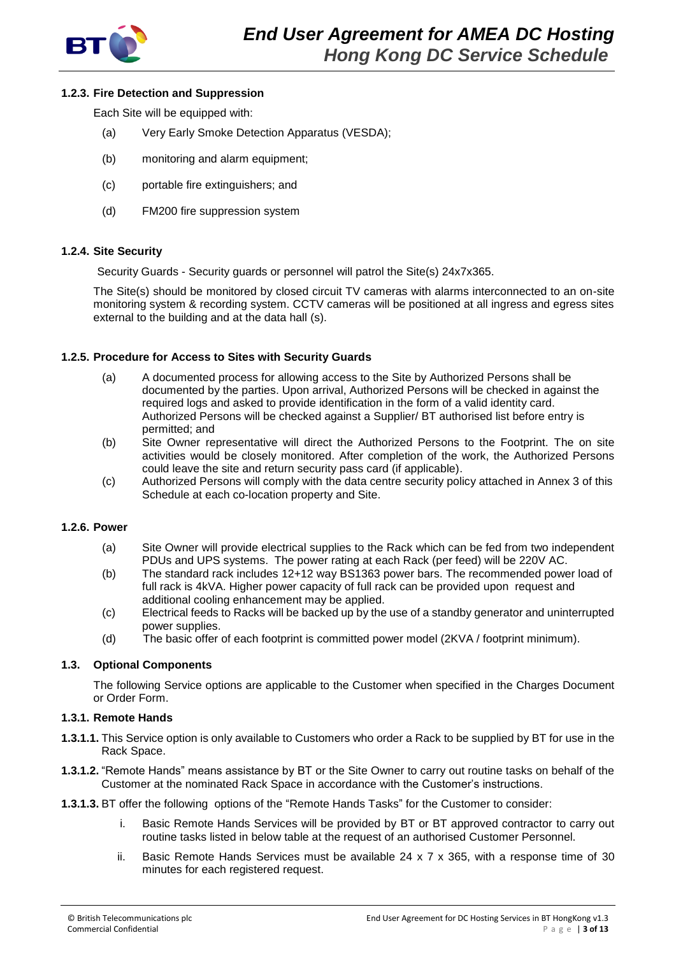

## **1.2.3. Fire Detection and Suppression**

Each Site will be equipped with:

- (a) Very Early Smoke Detection Apparatus (VESDA);
- (b) monitoring and alarm equipment;
- (c) portable fire extinguishers; and
- (d) FM200 fire suppression system

#### **1.2.4. Site Security**

Security Guards - Security guards or personnel will patrol the Site(s) 24x7x365.

The Site(s) should be monitored by closed circuit TV cameras with alarms interconnected to an on-site monitoring system & recording system. CCTV cameras will be positioned at all ingress and egress sites external to the building and at the data hall (s).

#### **1.2.5. Procedure for Access to Sites with Security Guards**

- (a) A documented process for allowing access to the Site by Authorized Persons shall be documented by the parties. Upon arrival, Authorized Persons will be checked in against the required logs and asked to provide identification in the form of a valid identity card. Authorized Persons will be checked against a Supplier/ BT authorised list before entry is permitted; and
- (b) Site Owner representative will direct the Authorized Persons to the Footprint. The on site activities would be closely monitored. After completion of the work, the Authorized Persons could leave the site and return security pass card (if applicable).
- (c) Authorized Persons will comply with the data centre security policy attached in Annex 3 of this Schedule at each co-location property and Site.

#### **1.2.6. Power**

- (a) Site Owner will provide electrical supplies to the Rack which can be fed from two independent PDUs and UPS systems. The power rating at each Rack (per feed) will be 220V AC.
- (b) The standard rack includes 12+12 way BS1363 power bars. The recommended power load of full rack is 4kVA. Higher power capacity of full rack can be provided upon request and additional cooling enhancement may be applied.
- (c) Electrical feeds to Racks will be backed up by the use of a standby generator and uninterrupted power supplies.
- (d) The basic offer of each footprint is committed power model (2KVA / footprint minimum).

#### **1.3. Optional Components**

The following Service options are applicable to the Customer when specified in the Charges Document or Order Form.

#### **1.3.1. Remote Hands**

- **1.3.1.1.** This Service option is only available to Customers who order a Rack to be supplied by BT for use in the Rack Space.
- **1.3.1.2.** "Remote Hands" means assistance by BT or the Site Owner to carry out routine tasks on behalf of the Customer at the nominated Rack Space in accordance with the Customer's instructions.
- **1.3.1.3.** BT offer the following options of the "Remote Hands Tasks" for the Customer to consider:
	- i. Basic Remote Hands Services will be provided by BT or BT approved contractor to carry out routine tasks listed in below table at the request of an authorised Customer Personnel.
	- ii. Basic Remote Hands Services must be available  $24 \times 7 \times 365$ , with a response time of 30 minutes for each registered request.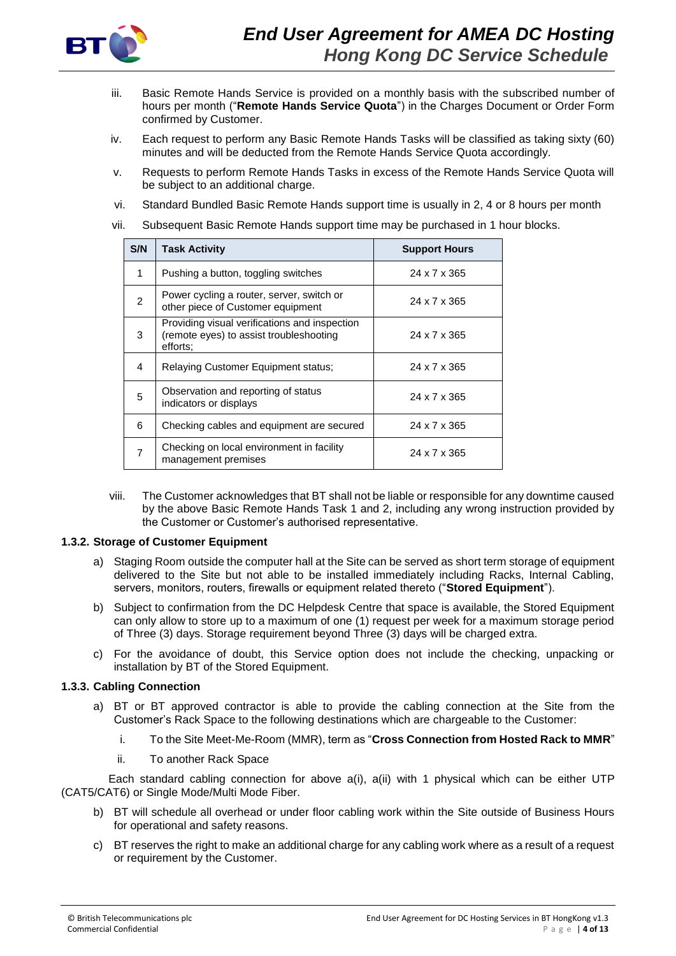

- iii. Basic Remote Hands Service is provided on a monthly basis with the subscribed number of hours per month ("**Remote Hands Service Quota**") in the Charges Document or Order Form confirmed by Customer.
- iv. Each request to perform any Basic Remote Hands Tasks will be classified as taking sixty (60) minutes and will be deducted from the Remote Hands Service Quota accordingly.
- v. Requests to perform Remote Hands Tasks in excess of the Remote Hands Service Quota will be subject to an additional charge.
- vi. Standard Bundled Basic Remote Hands support time is usually in 2, 4 or 8 hours per month
- vii. Subsequent Basic Remote Hands support time may be purchased in 1 hour blocks.

| S/N           | <b>Task Activity</b>                                                                                 | <b>Support Hours</b> |
|---------------|------------------------------------------------------------------------------------------------------|----------------------|
| 1             | Pushing a button, toggling switches                                                                  | 24 x 7 x 365         |
| $\mathcal{P}$ | Power cycling a router, server, switch or<br>other piece of Customer equipment                       | 24 x 7 x 365         |
| 3             | Providing visual verifications and inspection<br>(remote eyes) to assist troubleshooting<br>efforts: | 24 x 7 x 365         |
| 4             | <b>Relaying Customer Equipment status;</b>                                                           | 24 x 7 x 365         |
| 5             | Observation and reporting of status<br>indicators or displays                                        | 24 x 7 x 365         |
| 6             | Checking cables and equipment are secured                                                            | 24 x 7 x 365         |
| 7             | Checking on local environment in facility<br>management premises                                     | 24 x 7 x 365         |

viii. The Customer acknowledges that BT shall not be liable or responsible for any downtime caused by the above Basic Remote Hands Task 1 and 2, including any wrong instruction provided by the Customer or Customer's authorised representative.

## **1.3.2. Storage of Customer Equipment**

- a) Staging Room outside the computer hall at the Site can be served as short term storage of equipment delivered to the Site but not able to be installed immediately including Racks, Internal Cabling, servers, monitors, routers, firewalls or equipment related thereto ("**Stored Equipment**").
- b) Subject to confirmation from the DC Helpdesk Centre that space is available, the Stored Equipment can only allow to store up to a maximum of one (1) request per week for a maximum storage period of Three (3) days. Storage requirement beyond Three (3) days will be charged extra.
- c) For the avoidance of doubt, this Service option does not include the checking, unpacking or installation by BT of the Stored Equipment.

## **1.3.3. Cabling Connection**

- a) BT or BT approved contractor is able to provide the cabling connection at the Site from the Customer's Rack Space to the following destinations which are chargeable to the Customer:
	- i. To the Site Meet-Me-Room (MMR), term as "**Cross Connection from Hosted Rack to MMR**"
	- ii. To another Rack Space

 Each standard cabling connection for above a(i), a(ii) with 1 physical which can be either UTP (CAT5/CAT6) or Single Mode/Multi Mode Fiber.

- b) BT will schedule all overhead or under floor cabling work within the Site outside of Business Hours for operational and safety reasons.
- c) BT reserves the right to make an additional charge for any cabling work where as a result of a request or requirement by the Customer.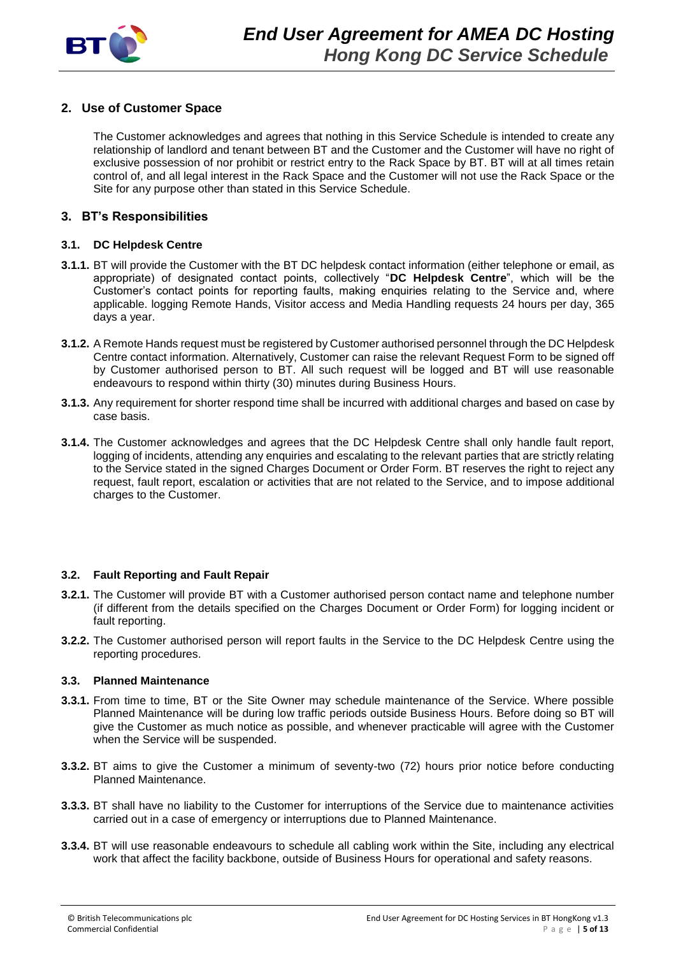

# **2. Use of Customer Space**

The Customer acknowledges and agrees that nothing in this Service Schedule is intended to create any relationship of landlord and tenant between BT and the Customer and the Customer will have no right of exclusive possession of nor prohibit or restrict entry to the Rack Space by BT. BT will at all times retain control of, and all legal interest in the Rack Space and the Customer will not use the Rack Space or the Site for any purpose other than stated in this Service Schedule.

## **3. BT's Responsibilities**

## **3.1. DC Helpdesk Centre**

- **3.1.1.** BT will provide the Customer with the BT DC helpdesk contact information (either telephone or email, as appropriate) of designated contact points, collectively "**DC Helpdesk Centre**", which will be the Customer's contact points for reporting faults, making enquiries relating to the Service and, where applicable. logging Remote Hands, Visitor access and Media Handling requests 24 hours per day, 365 days a year.
- **3.1.2.** A Remote Hands request must be registered by Customer authorised personnel through the DC Helpdesk Centre contact information. Alternatively, Customer can raise the relevant Request Form to be signed off by Customer authorised person to BT. All such request will be logged and BT will use reasonable endeavours to respond within thirty (30) minutes during Business Hours.
- **3.1.3.** Any requirement for shorter respond time shall be incurred with additional charges and based on case by case basis.
- **3.1.4.** The Customer acknowledges and agrees that the DC Helpdesk Centre shall only handle fault report, logging of incidents, attending any enquiries and escalating to the relevant parties that are strictly relating to the Service stated in the signed Charges Document or Order Form. BT reserves the right to reject any request, fault report, escalation or activities that are not related to the Service, and to impose additional charges to the Customer.

## **3.2. Fault Reporting and Fault Repair**

- **3.2.1.** The Customer will provide BT with a Customer authorised person contact name and telephone number (if different from the details specified on the Charges Document or Order Form) for logging incident or fault reporting.
- **3.2.2.** The Customer authorised person will report faults in the Service to the DC Helpdesk Centre using the reporting procedures.

#### **3.3. Planned Maintenance**

- **3.3.1.** From time to time, BT or the Site Owner may schedule maintenance of the Service. Where possible Planned Maintenance will be during low traffic periods outside Business Hours. Before doing so BT will give the Customer as much notice as possible, and whenever practicable will agree with the Customer when the Service will be suspended.
- **3.3.2.** BT aims to give the Customer a minimum of seventy-two (72) hours prior notice before conducting Planned Maintenance.
- **3.3.3.** BT shall have no liability to the Customer for interruptions of the Service due to maintenance activities carried out in a case of emergency or interruptions due to Planned Maintenance.
- **3.3.4.** BT will use reasonable endeavours to schedule all cabling work within the Site, including any electrical work that affect the facility backbone, outside of Business Hours for operational and safety reasons.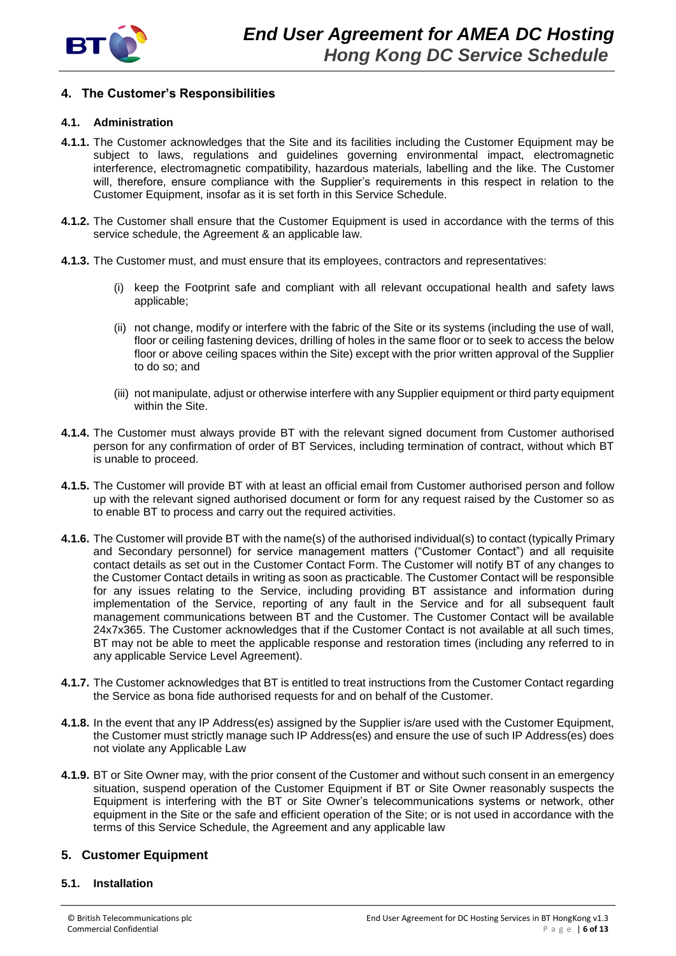

# **4. The Customer's Responsibilities**

## **4.1. Administration**

- **4.1.1.** The Customer acknowledges that the Site and its facilities including the Customer Equipment may be subject to laws, regulations and guidelines governing environmental impact, electromagnetic interference, electromagnetic compatibility, hazardous materials, labelling and the like. The Customer will, therefore, ensure compliance with the Supplier's requirements in this respect in relation to the Customer Equipment, insofar as it is set forth in this Service Schedule.
- **4.1.2.** The Customer shall ensure that the Customer Equipment is used in accordance with the terms of this service schedule, the Agreement & an applicable law.
- **4.1.3.** The Customer must, and must ensure that its employees, contractors and representatives:
	- (i) keep the Footprint safe and compliant with all relevant occupational health and safety laws applicable;
	- (ii) not change, modify or interfere with the fabric of the Site or its systems (including the use of wall, floor or ceiling fastening devices, drilling of holes in the same floor or to seek to access the below floor or above ceiling spaces within the Site) except with the prior written approval of the Supplier to do so; and
	- (iii) not manipulate, adjust or otherwise interfere with any Supplier equipment or third party equipment within the Site.
- **4.1.4.** The Customer must always provide BT with the relevant signed document from Customer authorised person for any confirmation of order of BT Services, including termination of contract, without which BT is unable to proceed.
- **4.1.5.** The Customer will provide BT with at least an official email from Customer authorised person and follow up with the relevant signed authorised document or form for any request raised by the Customer so as to enable BT to process and carry out the required activities.
- **4.1.6.** The Customer will provide BT with the name(s) of the authorised individual(s) to contact (typically Primary and Secondary personnel) for service management matters ("Customer Contact") and all requisite contact details as set out in the Customer Contact Form. The Customer will notify BT of any changes to the Customer Contact details in writing as soon as practicable. The Customer Contact will be responsible for any issues relating to the Service, including providing BT assistance and information during implementation of the Service, reporting of any fault in the Service and for all subsequent fault management communications between BT and the Customer. The Customer Contact will be available 24x7x365. The Customer acknowledges that if the Customer Contact is not available at all such times, BT may not be able to meet the applicable response and restoration times (including any referred to in any applicable Service Level Agreement).
- **4.1.7.** The Customer acknowledges that BT is entitled to treat instructions from the Customer Contact regarding the Service as bona fide authorised requests for and on behalf of the Customer.
- **4.1.8.** In the event that any IP Address(es) assigned by the Supplier is/are used with the Customer Equipment, the Customer must strictly manage such IP Address(es) and ensure the use of such IP Address(es) does not violate any Applicable Law
- **4.1.9.** BT or Site Owner may, with the prior consent of the Customer and without such consent in an emergency situation, suspend operation of the Customer Equipment if BT or Site Owner reasonably suspects the Equipment is interfering with the BT or Site Owner's telecommunications systems or network, other equipment in the Site or the safe and efficient operation of the Site; or is not used in accordance with the terms of this Service Schedule, the Agreement and any applicable law

# **5. Customer Equipment**

## **5.1. Installation**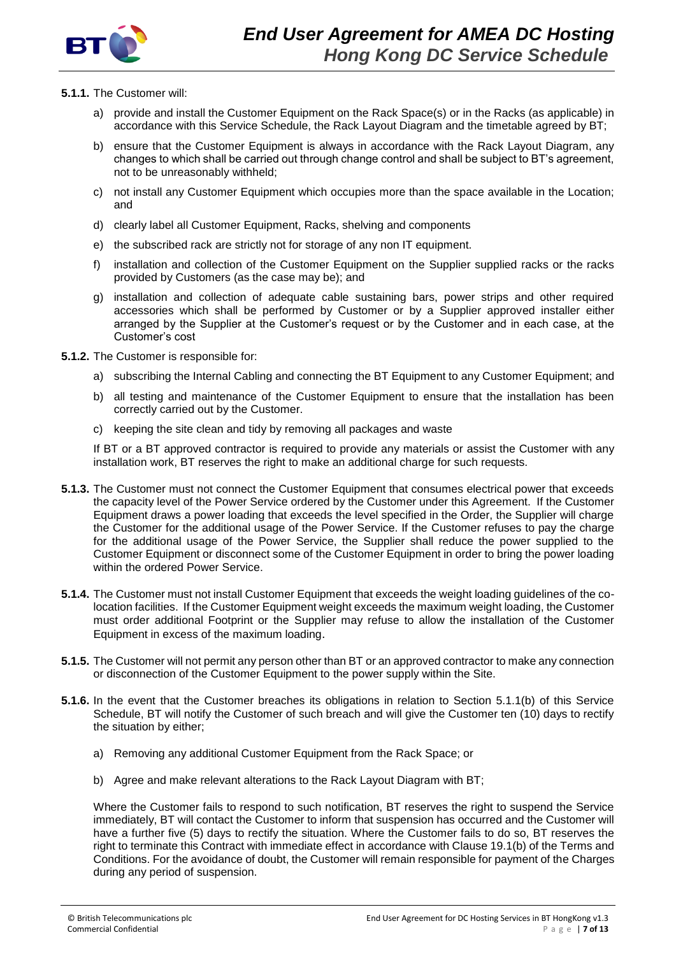

#### **5.1.1.** The Customer will:

- a) provide and install the Customer Equipment on the Rack Space(s) or in the Racks (as applicable) in accordance with this Service Schedule, the Rack Layout Diagram and the timetable agreed by BT;
- b) ensure that the Customer Equipment is always in accordance with the Rack Layout Diagram, any changes to which shall be carried out through change control and shall be subject to BT's agreement, not to be unreasonably withheld;
- c) not install any Customer Equipment which occupies more than the space available in the Location; and
- d) clearly label all Customer Equipment, Racks, shelving and components
- e) the subscribed rack are strictly not for storage of any non IT equipment.
- f) installation and collection of the Customer Equipment on the Supplier supplied racks or the racks provided by Customers (as the case may be); and
- g) installation and collection of adequate cable sustaining bars, power strips and other required accessories which shall be performed by Customer or by a Supplier approved installer either arranged by the Supplier at the Customer's request or by the Customer and in each case, at the Customer's cost
- **5.1.2.** The Customer is responsible for:
	- a) subscribing the Internal Cabling and connecting the BT Equipment to any Customer Equipment; and
	- b) all testing and maintenance of the Customer Equipment to ensure that the installation has been correctly carried out by the Customer.
	- c) keeping the site clean and tidy by removing all packages and waste

If BT or a BT approved contractor is required to provide any materials or assist the Customer with any installation work, BT reserves the right to make an additional charge for such requests.

- **5.1.3.** The Customer must not connect the Customer Equipment that consumes electrical power that exceeds the capacity level of the Power Service ordered by the Customer under this Agreement. If the Customer Equipment draws a power loading that exceeds the level specified in the Order, the Supplier will charge the Customer for the additional usage of the Power Service. If the Customer refuses to pay the charge for the additional usage of the Power Service, the Supplier shall reduce the power supplied to the Customer Equipment or disconnect some of the Customer Equipment in order to bring the power loading within the ordered Power Service.
- **5.1.4.** The Customer must not install Customer Equipment that exceeds the weight loading guidelines of the colocation facilities. If the Customer Equipment weight exceeds the maximum weight loading, the Customer must order additional Footprint or the Supplier may refuse to allow the installation of the Customer Equipment in excess of the maximum loading.
- **5.1.5.** The Customer will not permit any person other than BT or an approved contractor to make any connection or disconnection of the Customer Equipment to the power supply within the Site.
- **5.1.6.** In the event that the Customer breaches its obligations in relation to Section 5.1.1(b) of this Service Schedule, BT will notify the Customer of such breach and will give the Customer ten (10) days to rectify the situation by either;
	- a) Removing any additional Customer Equipment from the Rack Space; or
	- b) Agree and make relevant alterations to the Rack Layout Diagram with BT;

Where the Customer fails to respond to such notification, BT reserves the right to suspend the Service immediately, BT will contact the Customer to inform that suspension has occurred and the Customer will have a further five (5) days to rectify the situation. Where the Customer fails to do so, BT reserves the right to terminate this Contract with immediate effect in accordance with Clause 19.1(b) of the Terms and Conditions. For the avoidance of doubt, the Customer will remain responsible for payment of the Charges during any period of suspension.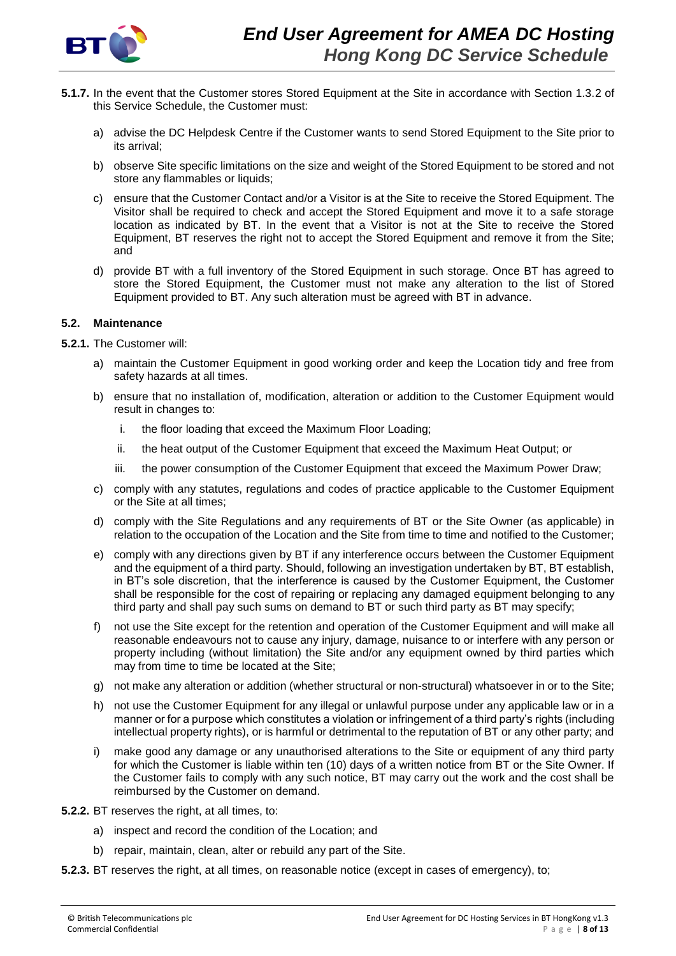

- **5.1.7.** In the event that the Customer stores Stored Equipment at the Site in accordance with Section 1.3.2 of this Service Schedule, the Customer must:
	- a) advise the DC Helpdesk Centre if the Customer wants to send Stored Equipment to the Site prior to its arrival;
	- b) observe Site specific limitations on the size and weight of the Stored Equipment to be stored and not store any flammables or liquids;
	- c) ensure that the Customer Contact and/or a Visitor is at the Site to receive the Stored Equipment. The Visitor shall be required to check and accept the Stored Equipment and move it to a safe storage location as indicated by BT. In the event that a Visitor is not at the Site to receive the Stored Equipment, BT reserves the right not to accept the Stored Equipment and remove it from the Site; and
	- d) provide BT with a full inventory of the Stored Equipment in such storage. Once BT has agreed to store the Stored Equipment, the Customer must not make any alteration to the list of Stored Equipment provided to BT. Any such alteration must be agreed with BT in advance.

#### **5.2. Maintenance**

**5.2.1.** The Customer will:

- a) maintain the Customer Equipment in good working order and keep the Location tidy and free from safety hazards at all times.
- b) ensure that no installation of, modification, alteration or addition to the Customer Equipment would result in changes to:
	- i. the floor loading that exceed the Maximum Floor Loading;
	- ii. the heat output of the Customer Equipment that exceed the Maximum Heat Output; or
	- iii. the power consumption of the Customer Equipment that exceed the Maximum Power Draw;
- c) comply with any statutes, regulations and codes of practice applicable to the Customer Equipment or the Site at all times;
- d) comply with the Site Regulations and any requirements of BT or the Site Owner (as applicable) in relation to the occupation of the Location and the Site from time to time and notified to the Customer;
- e) comply with any directions given by BT if any interference occurs between the Customer Equipment and the equipment of a third party. Should, following an investigation undertaken by BT, BT establish, in BT's sole discretion, that the interference is caused by the Customer Equipment, the Customer shall be responsible for the cost of repairing or replacing any damaged equipment belonging to any third party and shall pay such sums on demand to BT or such third party as BT may specify;
- f) not use the Site except for the retention and operation of the Customer Equipment and will make all reasonable endeavours not to cause any injury, damage, nuisance to or interfere with any person or property including (without limitation) the Site and/or any equipment owned by third parties which may from time to time be located at the Site;
- g) not make any alteration or addition (whether structural or non-structural) whatsoever in or to the Site;
- h) not use the Customer Equipment for any illegal or unlawful purpose under any applicable law or in a manner or for a purpose which constitutes a violation or infringement of a third party's rights (including intellectual property rights), or is harmful or detrimental to the reputation of BT or any other party; and
- i) make good any damage or any unauthorised alterations to the Site or equipment of any third party for which the Customer is liable within ten (10) days of a written notice from BT or the Site Owner. If the Customer fails to comply with any such notice, BT may carry out the work and the cost shall be reimbursed by the Customer on demand.
- **5.2.2.** BT reserves the right, at all times, to:
	- a) inspect and record the condition of the Location; and
	- b) repair, maintain, clean, alter or rebuild any part of the Site.
- **5.2.3.** BT reserves the right, at all times, on reasonable notice (except in cases of emergency), to;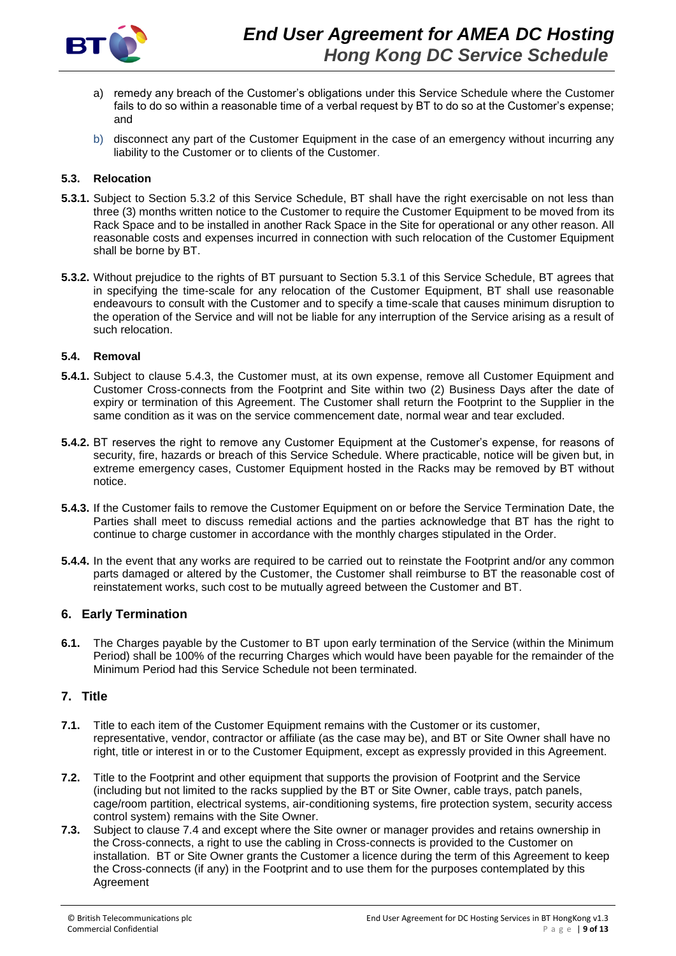

- a) remedy any breach of the Customer's obligations under this Service Schedule where the Customer fails to do so within a reasonable time of a verbal request by BT to do so at the Customer's expense; and
- b) disconnect any part of the Customer Equipment in the case of an emergency without incurring any liability to the Customer or to clients of the Customer.

## **5.3. Relocation**

- **5.3.1.** Subject to Section 5.3.2 of this Service Schedule, BT shall have the right exercisable on not less than three (3) months written notice to the Customer to require the Customer Equipment to be moved from its Rack Space and to be installed in another Rack Space in the Site for operational or any other reason. All reasonable costs and expenses incurred in connection with such relocation of the Customer Equipment shall be borne by BT.
- **5.3.2.** Without prejudice to the rights of BT pursuant to Section 5.3.1 of this Service Schedule, BT agrees that in specifying the time-scale for any relocation of the Customer Equipment, BT shall use reasonable endeavours to consult with the Customer and to specify a time-scale that causes minimum disruption to the operation of the Service and will not be liable for any interruption of the Service arising as a result of such relocation.

#### **5.4. Removal**

- **5.4.1.** Subject to clause 5.4.3, the Customer must, at its own expense, remove all Customer Equipment and Customer Cross-connects from the Footprint and Site within two (2) Business Days after the date of expiry or termination of this Agreement. The Customer shall return the Footprint to the Supplier in the same condition as it was on the service commencement date, normal wear and tear excluded.
- **5.4.2.** BT reserves the right to remove any Customer Equipment at the Customer's expense, for reasons of security, fire, hazards or breach of this Service Schedule. Where practicable, notice will be given but, in extreme emergency cases, Customer Equipment hosted in the Racks may be removed by BT without notice.
- **5.4.3.** If the Customer fails to remove the Customer Equipment on or before the Service Termination Date, the Parties shall meet to discuss remedial actions and the parties acknowledge that BT has the right to continue to charge customer in accordance with the monthly charges stipulated in the Order.
- **5.4.4.** In the event that any works are required to be carried out to reinstate the Footprint and/or any common parts damaged or altered by the Customer, the Customer shall reimburse to BT the reasonable cost of reinstatement works, such cost to be mutually agreed between the Customer and BT.

## **6. Early Termination**

**6.1.** The Charges payable by the Customer to BT upon early termination of the Service (within the Minimum Period) shall be 100% of the recurring Charges which would have been payable for the remainder of the Minimum Period had this Service Schedule not been terminated.

## **7. Title**

- **7.1.** Title to each item of the Customer Equipment remains with the Customer or its customer, representative, vendor, contractor or affiliate (as the case may be), and BT or Site Owner shall have no right, title or interest in or to the Customer Equipment, except as expressly provided in this Agreement.
- **7.2.** Title to the Footprint and other equipment that supports the provision of Footprint and the Service (including but not limited to the racks supplied by the BT or Site Owner, cable trays, patch panels, cage/room partition, electrical systems, air-conditioning systems, fire protection system, security access control system) remains with the Site Owner.
- **7.3.** Subject to clause 7.4 and except where the Site owner or manager provides and retains ownership in the Cross-connects, a right to use the cabling in Cross-connects is provided to the Customer on installation. BT or Site Owner grants the Customer a licence during the term of this Agreement to keep the Cross-connects (if any) in the Footprint and to use them for the purposes contemplated by this Agreement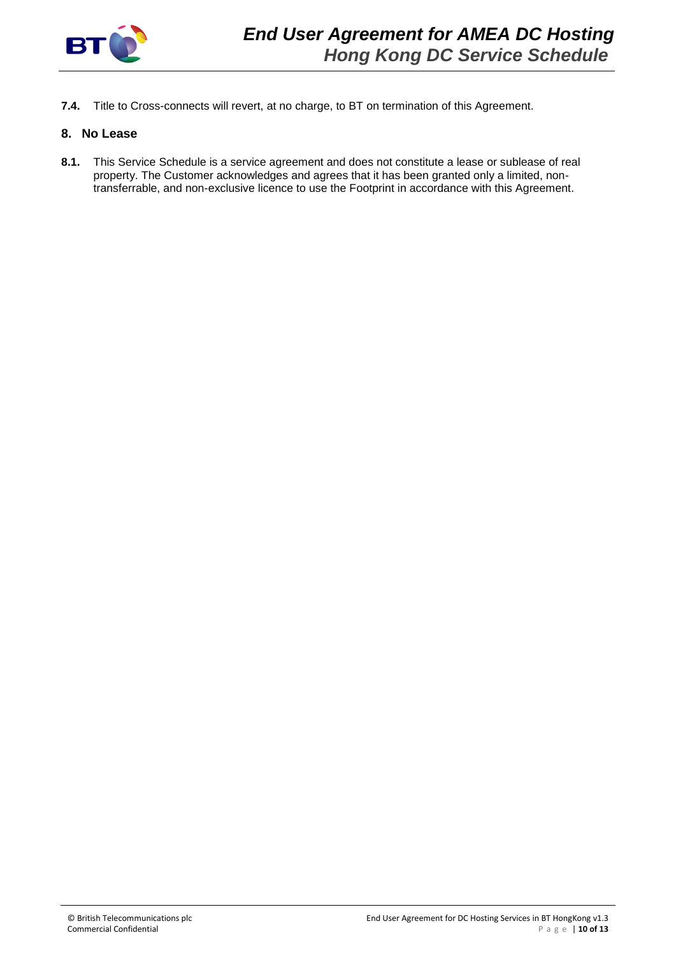

**7.4.** Title to Cross-connects will revert, at no charge, to BT on termination of this Agreement.

## **8. No Lease**

**8.1.** This Service Schedule is a service agreement and does not constitute a lease or sublease of real property. The Customer acknowledges and agrees that it has been granted only a limited, nontransferrable, and non-exclusive licence to use the Footprint in accordance with this Agreement.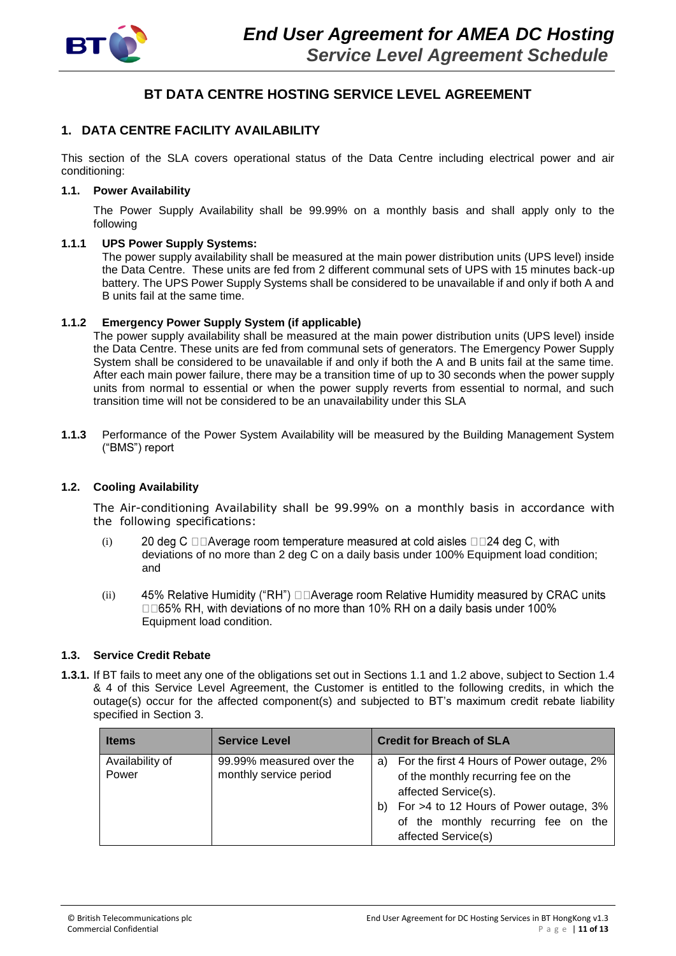

# **BT DATA CENTRE HOSTING SERVICE LEVEL AGREEMENT**

# **1. DATA CENTRE FACILITY AVAILABILITY**

This section of the SLA covers operational status of the Data Centre including electrical power and air conditioning:

#### **1.1. Power Availability**

The Power Supply Availability shall be 99.99% on a monthly basis and shall apply only to the following

#### **1.1.1 UPS Power Supply Systems:**

The power supply availability shall be measured at the main power distribution units (UPS level) inside the Data Centre. These units are fed from 2 different communal sets of UPS with 15 minutes back-up battery. The UPS Power Supply Systems shall be considered to be unavailable if and only if both A and B units fail at the same time.

#### **1.1.2 Emergency Power Supply System (if applicable)**

The power supply availability shall be measured at the main power distribution units (UPS level) inside the Data Centre. These units are fed from communal sets of generators. The Emergency Power Supply System shall be considered to be unavailable if and only if both the A and B units fail at the same time. After each main power failure, there may be a transition time of up to 30 seconds when the power supply units from normal to essential or when the power supply reverts from essential to normal, and such transition time will not be considered to be an unavailability under this SLA

**1.1.3** Performance of the Power System Availability will be measured by the Building Management System ("BMS") report

## **1.2. Cooling Availability**

The Air-conditioning Availability shall be 99.99% on a monthly basis in accordance with the following specifications:

- (i) 20 deg C □□Average room temperature measured at cold aisles □□24 deg C, with deviations of no more than 2 deg C on a daily basis under 100% Equipment load condition; and
- 45% Relative Humidity ("RH") DDAverage room Relative Humidity measured by CRAC units (ii) □□65% RH, with deviations of no more than 10% RH on a daily basis under 100% Equipment load condition.

## **1.3. Service Credit Rebate**

**1.3.1.** If BT fails to meet any one of the obligations set out in Sections 1.1 and 1.2 above, subject to Section 1.4 & 4 of this Service Level Agreement, the Customer is entitled to the following credits, in which the outage(s) occur for the affected component(s) and subjected to BT's maximum credit rebate liability specified in Section 3.

| <b>Items</b>             | <b>Service Level</b>                               | <b>Credit for Breach of SLA</b>                                                                                                                                                                                              |
|--------------------------|----------------------------------------------------|------------------------------------------------------------------------------------------------------------------------------------------------------------------------------------------------------------------------------|
| Availability of<br>Power | 99.99% measured over the<br>monthly service period | For the first 4 Hours of Power outage, 2%<br>a)<br>of the monthly recurring fee on the<br>affected Service(s).<br>For >4 to 12 Hours of Power outage, 3%<br>b)<br>of the monthly recurring fee on the<br>affected Service(s) |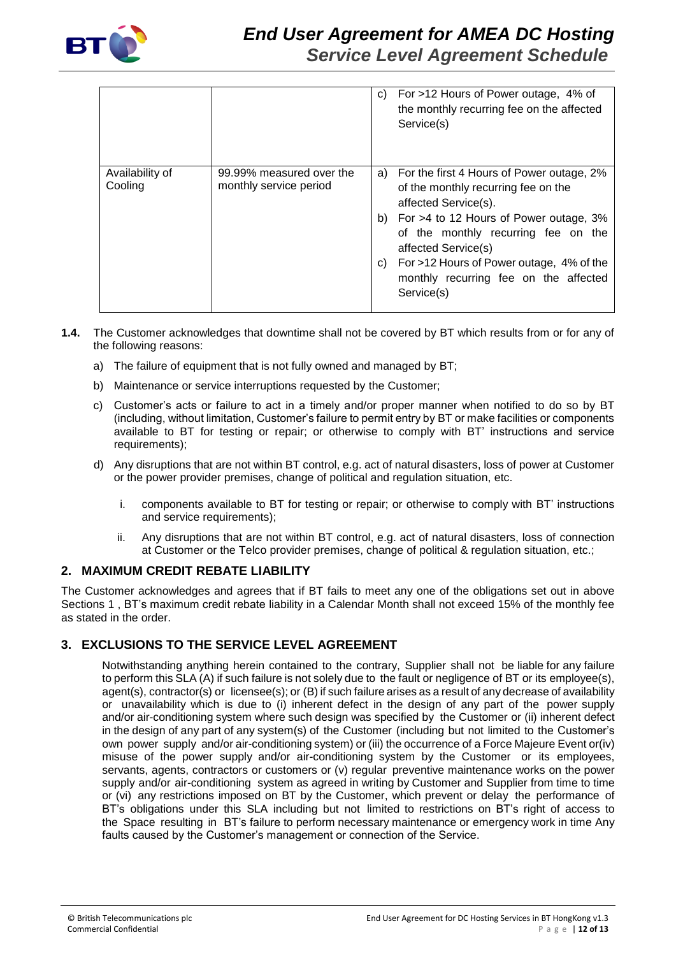

|                            |                                                    | C) | For >12 Hours of Power outage, 4% of<br>the monthly recurring fee on the affected<br>Service(s)                                                                                                                                                                                                                           |
|----------------------------|----------------------------------------------------|----|---------------------------------------------------------------------------------------------------------------------------------------------------------------------------------------------------------------------------------------------------------------------------------------------------------------------------|
| Availability of<br>Cooling | 99.99% measured over the<br>monthly service period | C) | a) For the first 4 Hours of Power outage, 2%<br>of the monthly recurring fee on the<br>affected Service(s).<br>b) For >4 to 12 Hours of Power outage, 3%<br>of the monthly recurring fee on the<br>affected Service(s)<br>For >12 Hours of Power outage, 4% of the<br>monthly recurring fee on the affected<br>Service(s) |

- **1.4.** The Customer acknowledges that downtime shall not be covered by BT which results from or for any of the following reasons:
	- a) The failure of equipment that is not fully owned and managed by BT;
	- b) Maintenance or service interruptions requested by the Customer;
	- c) Customer's acts or failure to act in a timely and/or proper manner when notified to do so by BT (including, without limitation, Customer's failure to permit entry by BT or make facilities or components available to BT for testing or repair; or otherwise to comply with BT' instructions and service requirements);
	- d) Any disruptions that are not within BT control, e.g. act of natural disasters, loss of power at Customer or the power provider premises, change of political and regulation situation, etc.
		- i. components available to BT for testing or repair; or otherwise to comply with BT' instructions and service requirements);
		- ii. Any disruptions that are not within BT control, e.g. act of natural disasters, loss of connection at Customer or the Telco provider premises, change of political & regulation situation, etc.;

# **2. MAXIMUM CREDIT REBATE LIABILITY**

The Customer acknowledges and agrees that if BT fails to meet any one of the obligations set out in above Sections 1 , BT's maximum credit rebate liability in a Calendar Month shall not exceed 15% of the monthly fee as stated in the order.

# **3. EXCLUSIONS TO THE SERVICE LEVEL AGREEMENT**

Notwithstanding anything herein contained to the contrary, Supplier shall not be liable for any failure to perform this SLA (A) if such failure is not solely due to the fault or negligence of BT or its employee(s), agent(s), contractor(s) or licensee(s); or (B) if such failure arises as a result of any decrease of availability or unavailability which is due to (i) inherent defect in the design of any part of the power supply and/or air-conditioning system where such design was specified by the Customer or (ii) inherent defect in the design of any part of any system(s) of the Customer (including but not limited to the Customer's own power supply and/or air-conditioning system) or (iii) the occurrence of a Force Majeure Event or(iv) misuse of the power supply and/or air-conditioning system by the Customer or its employees, servants, agents, contractors or customers or (v) regular preventive maintenance works on the power supply and/or air-conditioning system as agreed in writing by Customer and Supplier from time to time or (vi) any restrictions imposed on BT by the Customer, which prevent or delay the performance of BT's obligations under this SLA including but not limited to restrictions on BT's right of access to the Space resulting in BT's failure to perform necessary maintenance or emergency work in time Any faults caused by the Customer's management or connection of the Service.